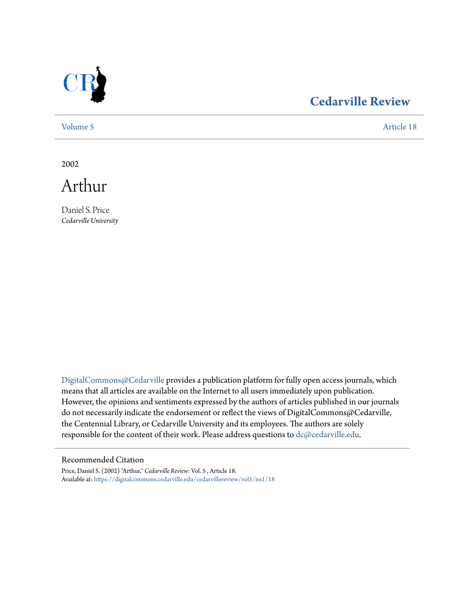

## **[Cedarville Review](https://digitalcommons.cedarville.edu/cedarvillereview?utm_source=digitalcommons.cedarville.edu%2Fcedarvillereview%2Fvol5%2Fiss1%2F18&utm_medium=PDF&utm_campaign=PDFCoverPages)**

[Volume 5](https://digitalcommons.cedarville.edu/cedarvillereview/vol5?utm_source=digitalcommons.cedarville.edu%2Fcedarvillereview%2Fvol5%2Fiss1%2F18&utm_medium=PDF&utm_campaign=PDFCoverPages) [Article 18](https://digitalcommons.cedarville.edu/cedarvillereview/vol5/iss1/18?utm_source=digitalcommons.cedarville.edu%2Fcedarvillereview%2Fvol5%2Fiss1%2F18&utm_medium=PDF&utm_campaign=PDFCoverPages)

2002



Daniel S. Price *Cedarville University*

[DigitalCommons@Cedarville](http://digitalcommons.cedarville.edu) provides a publication platform for fully open access journals, which means that all articles are available on the Internet to all users immediately upon publication. However, the opinions and sentiments expressed by the authors of articles published in our journals do not necessarily indicate the endorsement or reflect the views of DigitalCommons@Cedarville, the Centennial Library, or Cedarville University and its employees. The authors are solely responsible for the content of their work. Please address questions to [dc@cedarville.edu](mailto:dc@cedarville.edu).

#### Recommended Citation

Price, Daniel S. (2002) "Arthur," *Cedarville Review*: Vol. 5 , Article 18. Available at: [https://digitalcommons.cedarville.edu/cedarvillereview/vol5/iss1/18](https://digitalcommons.cedarville.edu/cedarvillereview/vol5/iss1/18?utm_source=digitalcommons.cedarville.edu%2Fcedarvillereview%2Fvol5%2Fiss1%2F18&utm_medium=PDF&utm_campaign=PDFCoverPages)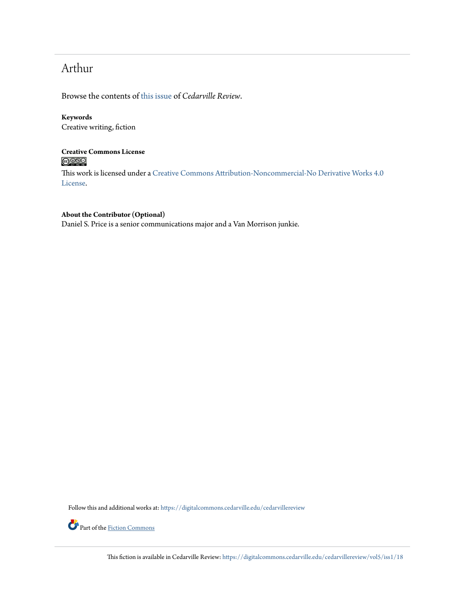# Arthur

Browse the contents of [this issue](https://digitalcommons.cedarville.edu/cedarvillereview/vol5/iss1) of *Cedarville Review*.

#### **Keywords** Creative writing, fiction

**Creative Commons License**  $\bigcirc$   $\circ$ 

This work is licensed under a [Creative Commons Attribution-Noncommercial-No Derivative Works 4.0](http://creativecommons.org/licenses/by-nc-nd/4.0/) [License.](http://creativecommons.org/licenses/by-nc-nd/4.0/)

#### **About the Contributor (Optional)**

Daniel S. Price is a senior communications major and a Van Morrison junkie.

Follow this and additional works at: [https://digitalcommons.cedarville.edu/cedarvillereview](https://digitalcommons.cedarville.edu/cedarvillereview?utm_source=digitalcommons.cedarville.edu%2Fcedarvillereview%2Fvol5%2Fiss1%2F18&utm_medium=PDF&utm_campaign=PDFCoverPages)



Part of the [Fiction Commons](http://network.bepress.com/hgg/discipline/1151?utm_source=digitalcommons.cedarville.edu%2Fcedarvillereview%2Fvol5%2Fiss1%2F18&utm_medium=PDF&utm_campaign=PDFCoverPages)